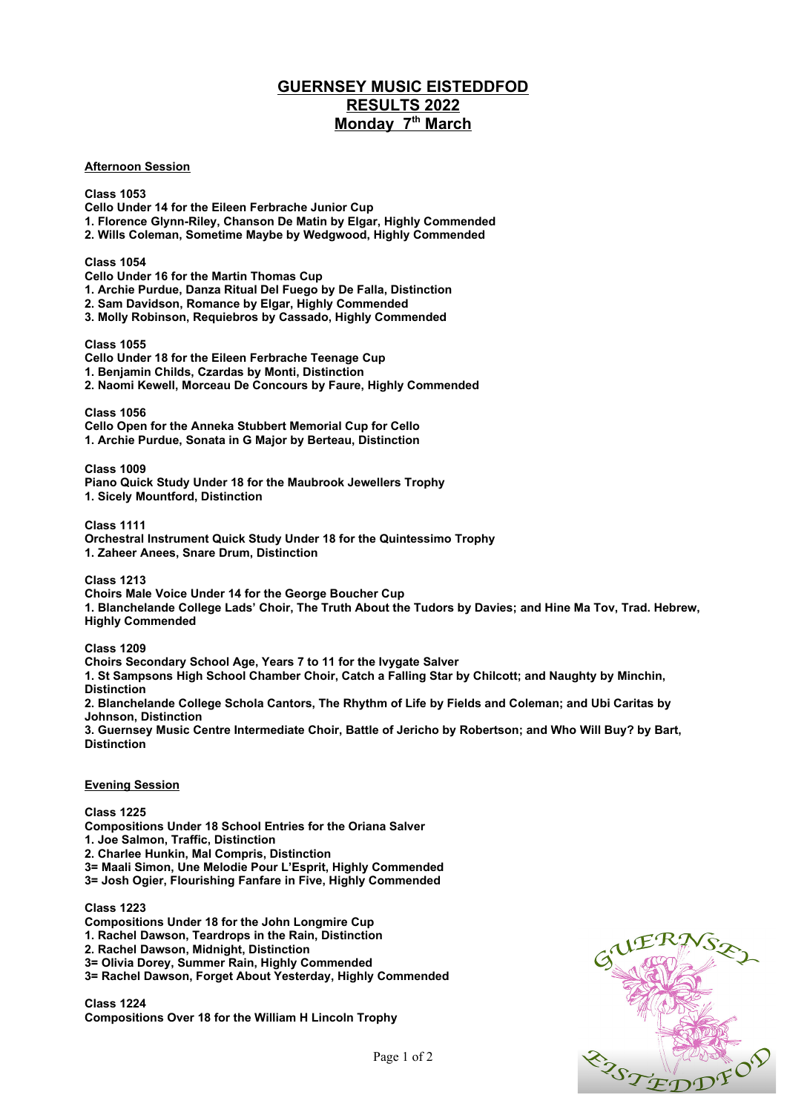## **GUERNSEY MUSIC EISTEDDFOD RESULTS 2022 Monday 7th March**

## **Afternoon Session**

**Class 1053 Cello Under 14 for the Eileen Ferbrache Junior Cup 1. Florence Glynn-Riley, Chanson De Matin by Elgar, Highly Commended 2. Wills Coleman, Sometime Maybe by Wedgwood, Highly Commended Class 1054 Cello Under 16 for the Martin Thomas Cup 1. Archie Purdue, Danza Ritual Del Fuego by De Falla, Distinction 2. Sam Davidson, Romance by Elgar, Highly Commended 3. Molly Robinson, Requiebros by Cassado, Highly Commended Class 1055 Cello Under 18 for the Eileen Ferbrache Teenage Cup 1. Benjamin Childs, Czardas by Monti, Distinction 2. Naomi Kewell, Morceau De Concours by Faure, Highly Commended Class 1056 Cello Open for the Anneka Stubbert Memorial Cup for Cello 1. Archie Purdue, Sonata in G Major by Berteau, Distinction Class 1009 Piano Quick Study Under 18 for the Maubrook Jewellers Trophy 1. Sicely Mountford, Distinction Class 1111 Orchestral Instrument Quick Study Under 18 for the Quintessimo Trophy 1. Zaheer Anees, Snare Drum, Distinction Class 1213 Choirs Male Voice Under 14 for the George Boucher Cup 1. Blanchelande College Lads' Choir, The Truth About the Tudors by Davies; and Hine Ma Tov, Trad. Hebrew, Highly Commended Class 1209 Choirs Secondary School Age, Years 7 to 11 for the Ivygate Salver 1. St Sampsons High School Chamber Choir, Catch a Falling Star by Chilcott; and Naughty by Minchin, Distinction 2. Blanchelande College Schola Cantors, The Rhythm of Life by Fields and Coleman; and Ubi Caritas by Johnson, Distinction 3. Guernsey Music Centre Intermediate Choir, Battle of Jericho by Robertson; and Who Will Buy? by Bart, Distinction Evening Session Class 1225 Compositions Under 18 School Entries for the Oriana Salver 1. Joe Salmon, Traffic, Distinction**

**2. Charlee Hunkin, Mal Compris, Distinction**

**3= Maali Simon, Une Melodie Pour L'Esprit, Highly Commended**

**3= Josh Ogier, Flourishing Fanfare in Five, Highly Commended**

## **Class 1223**

- **Compositions Under 18 for the John Longmire Cup**
- **1. Rachel Dawson, Teardrops in the Rain, Distinction**
- **2. Rachel Dawson, Midnight, Distinction**
- **3= Olivia Dorey, Summer Rain, Highly Commended**
- **3= Rachel Dawson, Forget About Yesterday, Highly Commended**

**Class 1224 Compositions Over 18 for the William H Lincoln Trophy**